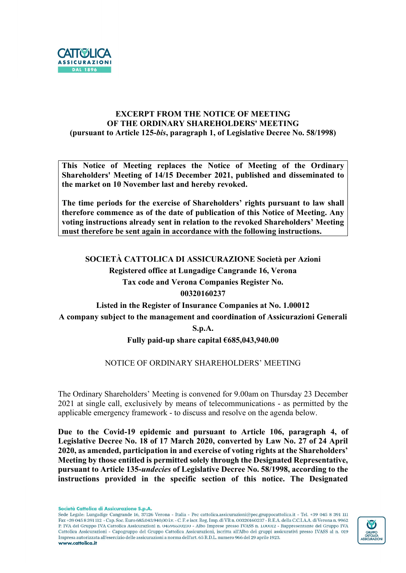

# EXCERPT FROM THE NOTICE OF MEETING OF THE ORDINARY SHAREHOLDERS' MEETING (pursuant to Article 125-bis, paragraph 1, of Legislative Decree No. 58/1998)

This Notice of Meeting replaces the Notice of Meeting of the Ordinary Shareholders' Meeting of 14/15 December 2021, published and disseminated to the market on 10 November last and hereby revoked.

The time periods for the exercise of Shareholders' rights pursuant to law shall therefore commence as of the date of publication of this Notice of Meeting. Any voting instructions already sent in relation to the revoked Shareholders' Meeting must therefore be sent again in accordance with the following instructions.

SOCIETÀ CATTOLICA DI ASSICURAZIONE Società per Azioni

Registered office at Lungadige Cangrande 16, Verona Tax code and Verona Companies Register No.

# 00320160237

Listed in the Register of Insurance Companies at No. 1.00012 A company subject to the management and coordination of Assicurazioni Generali

S.p.A.

# Fully paid-up share capital €685,043,940.00

# NOTICE OF ORDINARY SHAREHOLDERS' MEETING

The Ordinary Shareholders' Meeting is convened for 9.00am on Thursday 23 December 2021 at single call, exclusively by means of telecommunications - as permitted by the applicable emergency framework - to discuss and resolve on the agenda below.

Due to the Covid-19 epidemic and pursuant to Article 106, paragraph 4, of Legislative Decree No. 18 of 17 March 2020, converted by Law No. 27 of 24 April 2020, as amended, participation in and exercise of voting rights at the Shareholders' Meeting by those entitled is permitted solely through the Designated Representative, pursuant to Article 135-undecies of Legislative Decree No. 58/1998, according to the instructions provided in the specific section of this notice. The Designated

Società Cattolica di Assicurazione S.p.A.

Sede Legale: Lungadige Cangrande 16, 37126 Verona - Italia - Pec cattolica.assicurazioni@pec.gruppocattolica.it - Tel. +39 045 8 391 111 Fax +39 045 8 391 112 - Cap. Soc. Euro 685.043.940.00 i.v. - C. F. e iscr. Reg. Imp. di VR n. 00320160237 - R.E.A. della C.C.I.A.A. di Verona n. 9962 P. IVA del Gruppo IVA Cattolica Assicurazioni n. 04596530230 - Albo Imprese presso IVASS n. 1.00012 - Rappresentante del Gruppo IVA Cattolica Assicurazioni - Capogruppo del Gruppo Cattolica Assicurazioni, iscritta all'Albo dei gruppi assicurativi presso IVASS al n. 019 Impresa autorizzata all'esercizio delle assicurazioni a norma dell'art. 65 R.D.L. numero 966 del 29 aprile 1923. www.cattolica.it

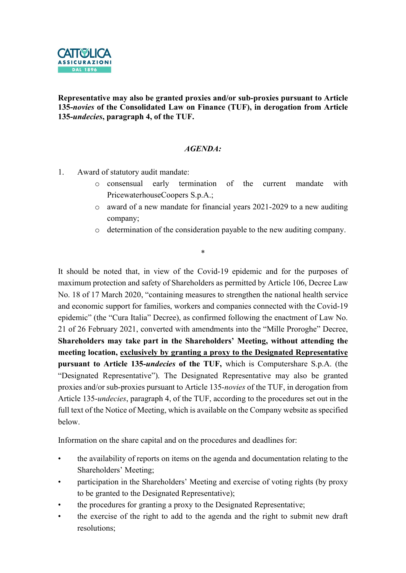

Representative may also be granted proxies and/or sub-proxies pursuant to Article 135-novies of the Consolidated Law on Finance (TUF), in derogation from Article 135-undecies, paragraph 4, of the TUF.

### AGENDA:

- 1. Award of statutory audit mandate:
	- o consensual early termination of the current mandate with PricewaterhouseCoopers S.p.A.;
	- o award of a new mandate for financial years 2021-2029 to a new auditing company;
	- o determination of the consideration payable to the new auditing company.

It should be noted that, in view of the Covid-19 epidemic and for the purposes of maximum protection and safety of Shareholders as permitted by Article 106, Decree Law No. 18 of 17 March 2020, "containing measures to strengthen the national health service and economic support for families, workers and companies connected with the Covid-19 epidemic" (the "Cura Italia" Decree), as confirmed following the enactment of Law No. 21 of 26 February 2021, converted with amendments into the "Mille Proroghe" Decree, Shareholders may take part in the Shareholders' Meeting, without attending the meeting location, exclusively by granting a proxy to the Designated Representative pursuant to Article 135-undecies of the TUF, which is Computershare S.p.A. (the "Designated Representative"). The Designated Representative may also be granted proxies and/or sub-proxies pursuant to Article 135-novies of the TUF, in derogation from Article 135-undecies, paragraph 4, of the TUF, according to the procedures set out in the full text of the Notice of Meeting, which is available on the Company website as specified below.

\*

Information on the share capital and on the procedures and deadlines for:

- the availability of reports on items on the agenda and documentation relating to the Shareholders' Meeting;
- participation in the Shareholders' Meeting and exercise of voting rights (by proxy to be granted to the Designated Representative);
- the procedures for granting a proxy to the Designated Representative;
- the exercise of the right to add to the agenda and the right to submit new draft resolutions;